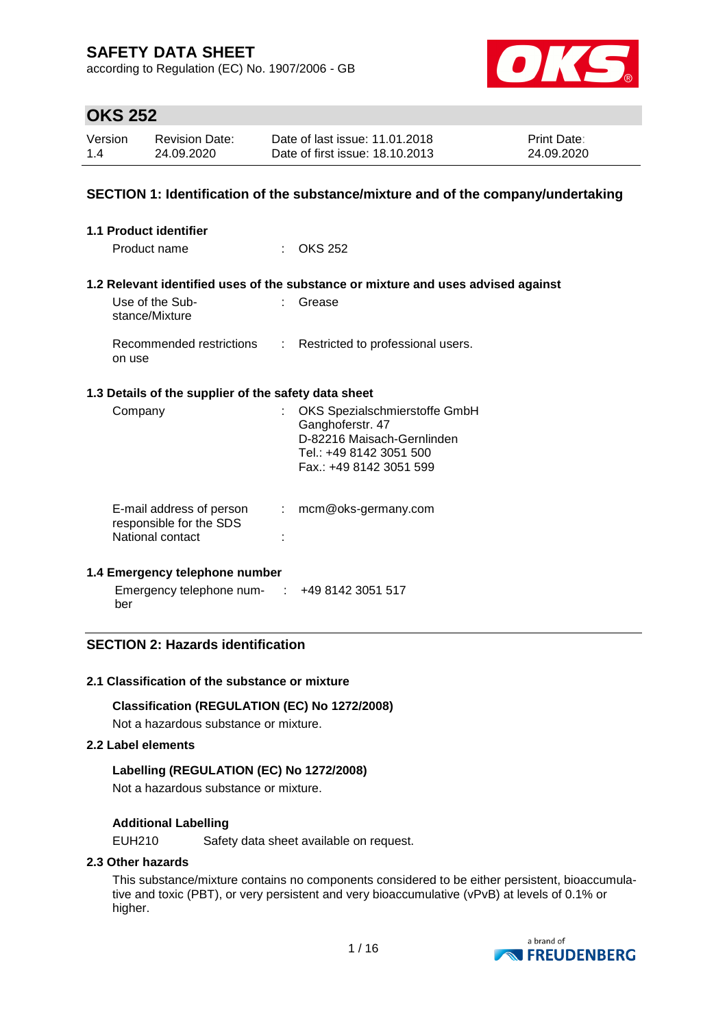according to Regulation (EC) No. 1907/2006 - GB



## **OKS 252**

| Version | <b>Revision Date:</b> | Date of last issue: 11.01.2018  | <b>Print Date:</b> |
|---------|-----------------------|---------------------------------|--------------------|
| 1.4     | 24.09.2020            | Date of first issue: 18.10.2013 | 24.09.2020         |

### **SECTION 1: Identification of the substance/mixture and of the company/undertaking**

| <b>1.1 Product identifier</b>                                           |               |                                                                                                                                       |
|-------------------------------------------------------------------------|---------------|---------------------------------------------------------------------------------------------------------------------------------------|
| Product name                                                            |               | $\therefore$ OKS 252                                                                                                                  |
|                                                                         |               | 1.2 Relevant identified uses of the substance or mixture and uses advised against                                                     |
| Use of the Sub-<br>stance/Mixture                                       | t.            | Grease                                                                                                                                |
| on use                                                                  |               | Recommended restrictions : Restricted to professional users.                                                                          |
| 1.3 Details of the supplier of the safety data sheet                    |               |                                                                                                                                       |
| Company                                                                 |               | OKS Spezialschmierstoffe GmbH<br>Ganghoferstr. 47<br>D-82216 Maisach-Gernlinden<br>Tel.: +49 8142 3051 500<br>Fax.: +49 8142 3051 599 |
| E-mail address of person<br>responsible for the SDS<br>National contact | $\mathcal{L}$ | mcm@oks-germany.com                                                                                                                   |

#### **1.4 Emergency telephone number**

Emergency telephone num-: +49 8142 3051 517 ber

### **SECTION 2: Hazards identification**

#### **2.1 Classification of the substance or mixture**

**Classification (REGULATION (EC) No 1272/2008)**

Not a hazardous substance or mixture.

### **2.2 Label elements**

#### **Labelling (REGULATION (EC) No 1272/2008)**

Not a hazardous substance or mixture.

#### **Additional Labelling**

EUH210 Safety data sheet available on request.

#### **2.3 Other hazards**

This substance/mixture contains no components considered to be either persistent, bioaccumulative and toxic (PBT), or very persistent and very bioaccumulative (vPvB) at levels of 0.1% or higher.

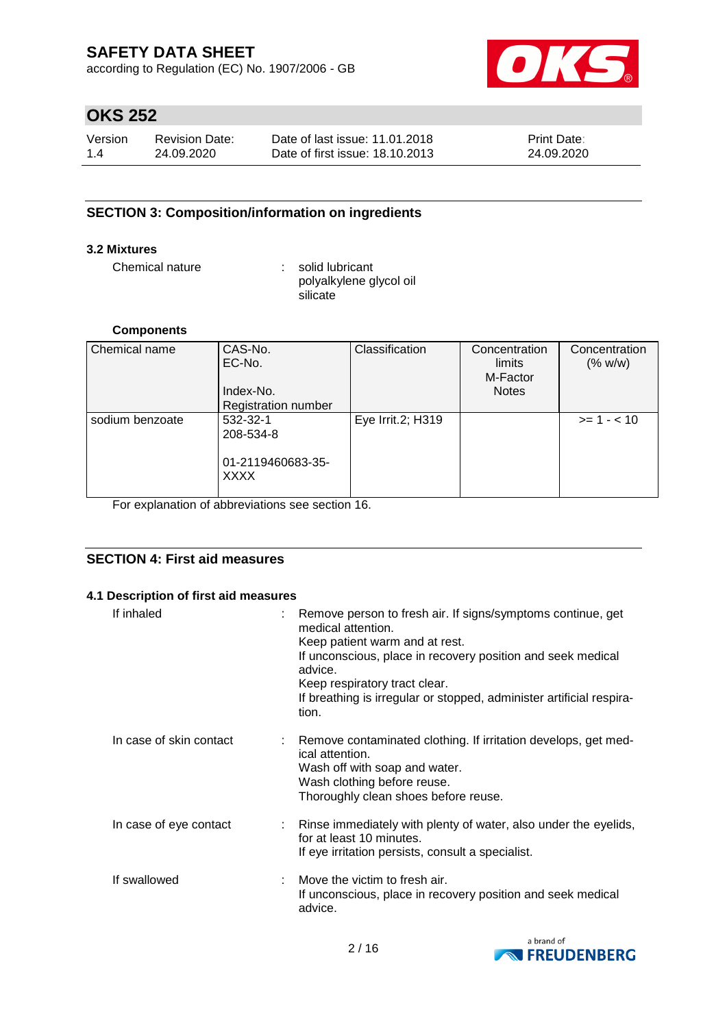according to Regulation (EC) No. 1907/2006 - GB



# **OKS 252**

| Version | <b>Revision Date:</b> | Date of last issue: 11.01.2018  | <b>Print Date:</b> |
|---------|-----------------------|---------------------------------|--------------------|
| 1.4     | 24.09.2020            | Date of first issue: 18.10.2013 | 24.09.2020         |

### **SECTION 3: Composition/information on ingredients**

### **3.2 Mixtures**

Chemical nature : solid lubricant

polyalkylene glycol oil **silicate** 

#### **Components**

| Chemical name   | CAS-No.                    | Classification    | Concentration | Concentration |
|-----------------|----------------------------|-------------------|---------------|---------------|
|                 | EC-No.                     |                   | limits        | (% w/w)       |
|                 |                            |                   | M-Factor      |               |
|                 | Index-No.                  |                   | <b>Notes</b>  |               |
|                 | <b>Registration number</b> |                   |               |               |
| sodium benzoate | 532-32-1                   | Eye Irrit.2; H319 |               | $>= 1 - < 10$ |
|                 | 208-534-8                  |                   |               |               |
|                 |                            |                   |               |               |
|                 | 01-2119460683-35-          |                   |               |               |
|                 | <b>XXXX</b>                |                   |               |               |
|                 |                            |                   |               |               |

For explanation of abbreviations see section 16.

### **SECTION 4: First aid measures**

#### **4.1 Description of first aid measures**

| If inhaled              | : Remove person to fresh air. If signs/symptoms continue, get<br>medical attention.<br>Keep patient warm and at rest.<br>If unconscious, place in recovery position and seek medical<br>advice.<br>Keep respiratory tract clear.<br>If breathing is irregular or stopped, administer artificial respira-<br>tion. |
|-------------------------|-------------------------------------------------------------------------------------------------------------------------------------------------------------------------------------------------------------------------------------------------------------------------------------------------------------------|
| In case of skin contact | : Remove contaminated clothing. If irritation develops, get med-<br>ical attention.<br>Wash off with soap and water.<br>Wash clothing before reuse.<br>Thoroughly clean shoes before reuse.                                                                                                                       |
| In case of eye contact  | Rinse immediately with plenty of water, also under the eyelids,<br>for at least 10 minutes.<br>If eye irritation persists, consult a specialist.                                                                                                                                                                  |
| If swallowed            | : Move the victim to fresh air.<br>If unconscious, place in recovery position and seek medical<br>advice.                                                                                                                                                                                                         |

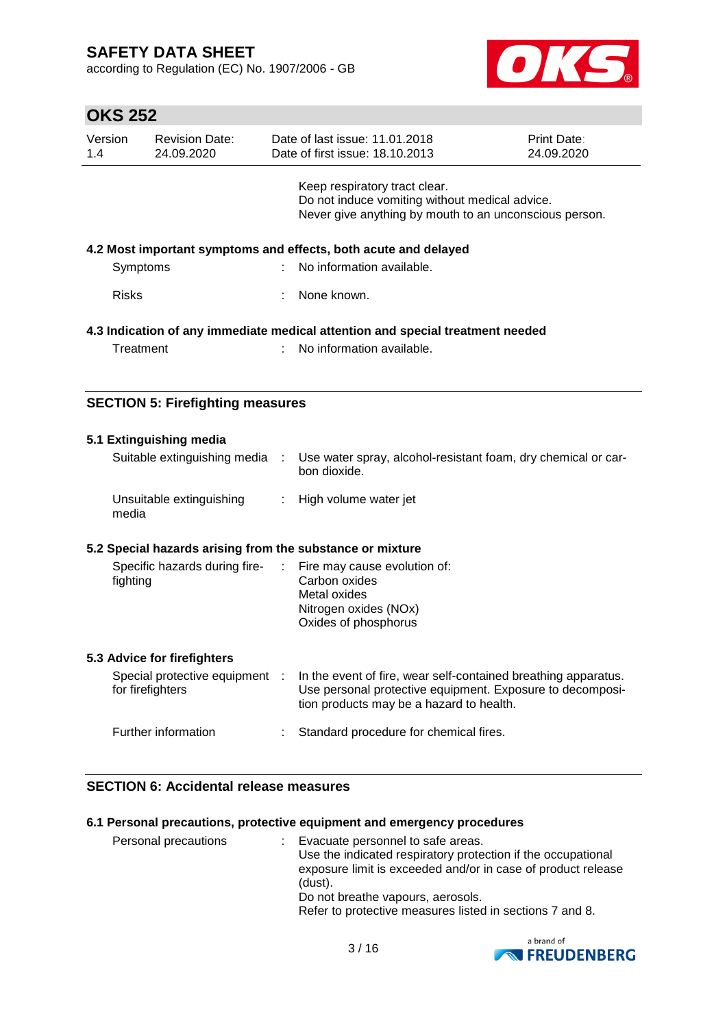according to Regulation (EC) No. 1907/2006 - GB



# **OKS 252**

| Version<br>1.4 | <b>Revision Date:</b><br>24.09.2020 | Date of last issue: 11.01.2018<br>Date of first issue: 18.10.2013                                                                         | <b>Print Date:</b><br>24.09.2020 |
|----------------|-------------------------------------|-------------------------------------------------------------------------------------------------------------------------------------------|----------------------------------|
|                |                                     | Keep respiratory tract clear.<br>Do not induce vomiting without medical advice.<br>Never give anything by mouth to an unconscious person. |                                  |
| Symptoms       |                                     | 4.2 Most important symptoms and effects, both acute and delayed<br>: No information available.                                            |                                  |
| <b>Risks</b>   |                                     | None known.                                                                                                                               |                                  |
| Treatment      |                                     | 4.3 Indication of any immediate medical attention and special treatment needed<br>No information available.                               |                                  |

### **SECTION 5: Firefighting measures**

| 5.1 Extinguishing media                                   |                                                                                                                                                                         |
|-----------------------------------------------------------|-------------------------------------------------------------------------------------------------------------------------------------------------------------------------|
| Suitable extinguishing media :                            | Use water spray, alcohol-resistant foam, dry chemical or car-<br>bon dioxide.                                                                                           |
| Unsuitable extinguishing<br>media                         | High volume water jet                                                                                                                                                   |
| 5.2 Special hazards arising from the substance or mixture |                                                                                                                                                                         |
| Specific hazards during fire-<br>fighting                 | $\therefore$ Fire may cause evolution of:<br>Carbon oxides<br>Metal oxides<br>Nitrogen oxides (NOx)<br>Oxides of phosphorus                                             |
| 5.3 Advice for firefighters                               |                                                                                                                                                                         |
| Special protective equipment :<br>for firefighters        | In the event of fire, wear self-contained breathing apparatus.<br>Use personal protective equipment. Exposure to decomposi-<br>tion products may be a hazard to health. |
| Further information                                       | Standard procedure for chemical fires.                                                                                                                                  |

### **SECTION 6: Accidental release measures**

#### **6.1 Personal precautions, protective equipment and emergency procedures**

| Personal precautions<br>(dust). | Evacuate personnel to safe areas.<br>Use the indicated respiratory protection if the occupational<br>exposure limit is exceeded and/or in case of product release<br>Do not breathe vapours, aerosols.<br>Refer to protective measures listed in sections 7 and 8. |
|---------------------------------|--------------------------------------------------------------------------------------------------------------------------------------------------------------------------------------------------------------------------------------------------------------------|
|---------------------------------|--------------------------------------------------------------------------------------------------------------------------------------------------------------------------------------------------------------------------------------------------------------------|

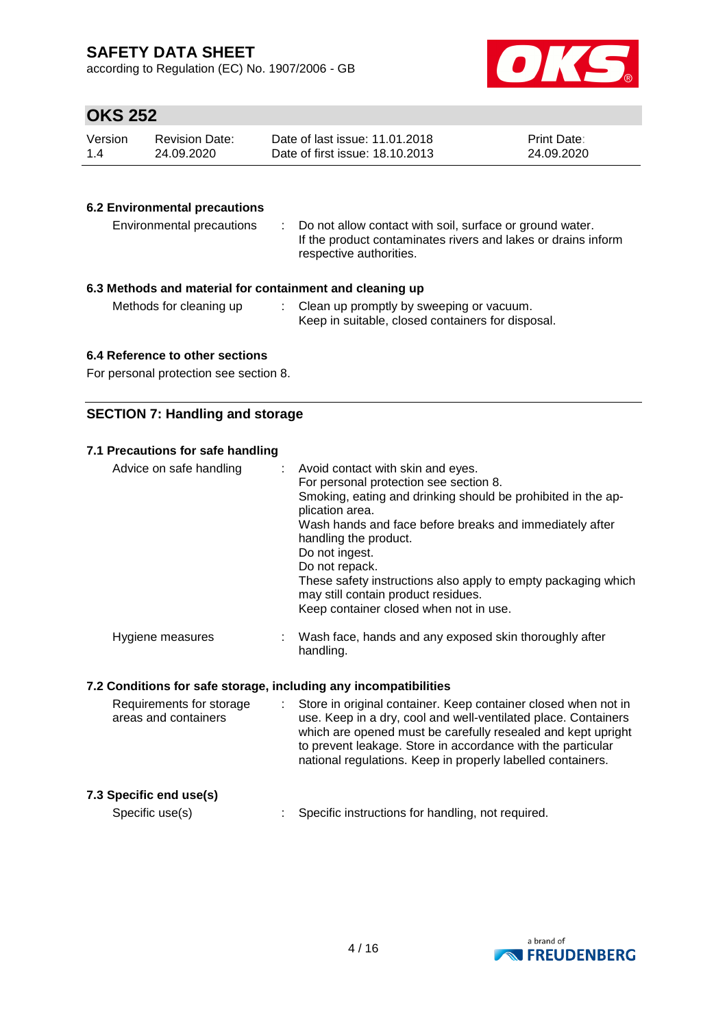according to Regulation (EC) No. 1907/2006 - GB



# **OKS 252**

| Version | Revision Date: | Date of last issue: 11.01.2018  | <b>Print Date:</b> |
|---------|----------------|---------------------------------|--------------------|
| 1.4     | 24.09.2020     | Date of first issue: 18.10.2013 | 24.09.2020         |

#### **6.2 Environmental precautions**

| Environmental precautions                              | : Do not allow contact with soil, surface or ground water.<br>If the product contaminates rivers and lakes or drains inform<br>respective authorities. |  |  |  |  |
|--------------------------------------------------------|--------------------------------------------------------------------------------------------------------------------------------------------------------|--|--|--|--|
| 3 Methods and material for containment and cleaning un |                                                                                                                                                        |  |  |  |  |

### **6.3 Methods and material for containment and cleaning up**

| Methods for cleaning up | Clean up promptly by sweeping or vacuum.          |
|-------------------------|---------------------------------------------------|
|                         | Keep in suitable, closed containers for disposal. |

### **6.4 Reference to other sections**

For personal protection see section 8.

### **SECTION 7: Handling and storage**

### **7.1 Precautions for safe handling**

| Advice on safe handling | : Avoid contact with skin and eyes.<br>For personal protection see section 8.<br>Smoking, eating and drinking should be prohibited in the ap-<br>plication area.<br>Wash hands and face before breaks and immediately after<br>handling the product.<br>Do not ingest.<br>Do not repack.<br>These safety instructions also apply to empty packaging which<br>may still contain product residues.<br>Keep container closed when not in use. |
|-------------------------|--------------------------------------------------------------------------------------------------------------------------------------------------------------------------------------------------------------------------------------------------------------------------------------------------------------------------------------------------------------------------------------------------------------------------------------------|
| Hygiene measures        | Wash face, hands and any exposed skin thoroughly after<br>handling.                                                                                                                                                                                                                                                                                                                                                                        |

#### **7.2 Conditions for safe storage, including any incompatibilities**

| Requirements for storage<br>areas and containers | : Store in original container. Keep container closed when not in<br>use. Keep in a dry, cool and well-ventilated place. Containers<br>which are opened must be carefully resealed and kept upright<br>to prevent leakage. Store in accordance with the particular<br>national regulations. Keep in properly labelled containers. |
|--------------------------------------------------|----------------------------------------------------------------------------------------------------------------------------------------------------------------------------------------------------------------------------------------------------------------------------------------------------------------------------------|
|                                                  |                                                                                                                                                                                                                                                                                                                                  |

### **7.3 Specific end use(s)**

Specific use(s) : Specific instructions for handling, not required.

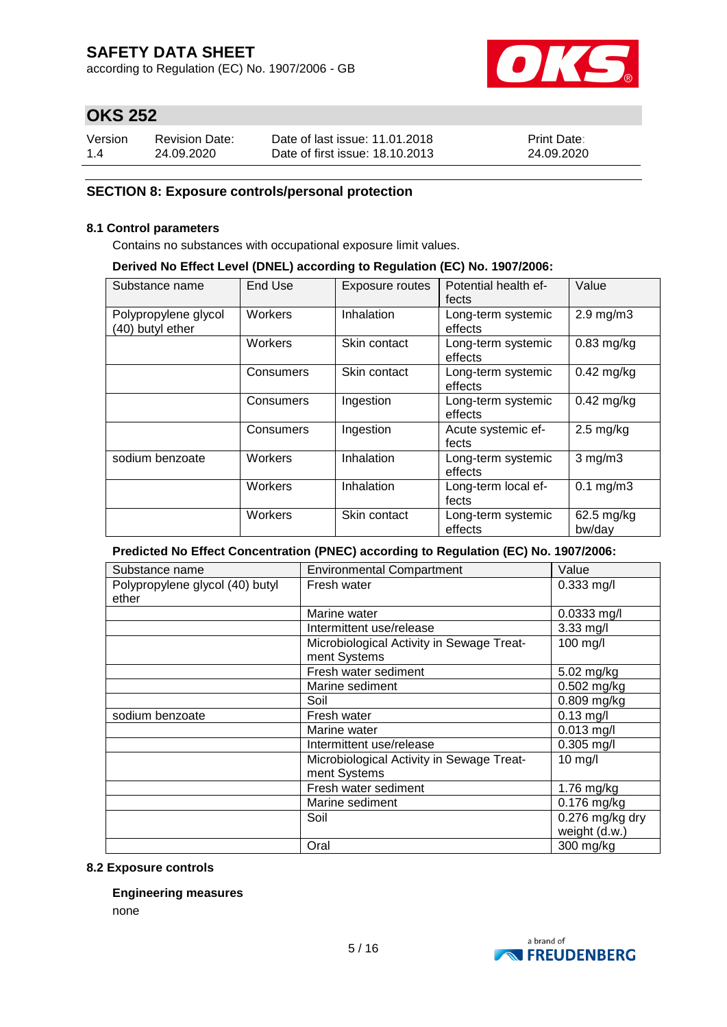according to Regulation (EC) No. 1907/2006 - GB



# **OKS 252**

| Version | <b>Revision Date:</b> | Date of last issue: 11.01.2018  | <b>Print Date:</b> |
|---------|-----------------------|---------------------------------|--------------------|
| 1.4     | 24.09.2020            | Date of first issue: 18.10.2013 | 24.09.2020         |

### **SECTION 8: Exposure controls/personal protection**

#### **8.1 Control parameters**

Contains no substances with occupational exposure limit values.

#### **Derived No Effect Level (DNEL) according to Regulation (EC) No. 1907/2006:**

| Substance name                           | End Use   | <b>Exposure routes</b> | Potential health ef-<br>fects | Value                |
|------------------------------------------|-----------|------------------------|-------------------------------|----------------------|
| Polypropylene glycol<br>(40) butyl ether | Workers   | Inhalation             | Long-term systemic<br>effects | $2.9$ mg/m $3$       |
|                                          | Workers   | Skin contact           | Long-term systemic<br>effects | $0.83$ mg/kg         |
|                                          | Consumers | Skin contact           | Long-term systemic<br>effects | $0.42$ mg/kg         |
|                                          | Consumers | Ingestion              | Long-term systemic<br>effects | $0.42$ mg/kg         |
|                                          | Consumers | Ingestion              | Acute systemic ef-<br>fects   | $2.5 \text{ mg/kg}$  |
| sodium benzoate                          | Workers   | Inhalation             | Long-term systemic<br>effects | $3$ mg/m $3$         |
|                                          | Workers   | Inhalation             | Long-term local ef-<br>fects  | $0.1$ mg/m $3$       |
|                                          | Workers   | Skin contact           | Long-term systemic<br>effects | 62.5 mg/kg<br>bw/day |

#### **Predicted No Effect Concentration (PNEC) according to Regulation (EC) No. 1907/2006:**

| Substance name                  | <b>Environmental Compartment</b>                          | Value                    |
|---------------------------------|-----------------------------------------------------------|--------------------------|
| Polypropylene glycol (40) butyl | Fresh water                                               | $0.333$ mg/l             |
| ether                           |                                                           |                          |
|                                 | Marine water                                              | $0.0333$ mg/l            |
|                                 | Intermittent use/release                                  | 3.33 mg/l                |
|                                 | Microbiological Activity in Sewage Treat-                 | 100 mg/l                 |
|                                 | ment Systems                                              |                          |
|                                 | Fresh water sediment                                      | 5.02 mg/kg               |
|                                 | Marine sediment                                           | $0.502$ mg/kg            |
|                                 | Soil                                                      | 0.809 mg/kg              |
| sodium benzoate                 | Fresh water                                               | $0.13$ mg/l              |
|                                 | Marine water                                              | $0.013$ mg/l             |
|                                 | Intermittent use/release                                  | $0.305$ mg/l             |
|                                 | Microbiological Activity in Sewage Treat-<br>ment Systems | 10 mg/l                  |
|                                 | Fresh water sediment                                      | 1.76 mg/kg               |
|                                 | Marine sediment                                           | $\overline{0.176}$ mg/kg |
|                                 | Soil                                                      | $0.276$ mg/kg dry        |
|                                 |                                                           | weight (d.w.)            |
|                                 | Oral                                                      | 300 mg/kg                |

#### **8.2 Exposure controls**

#### **Engineering measures**

none

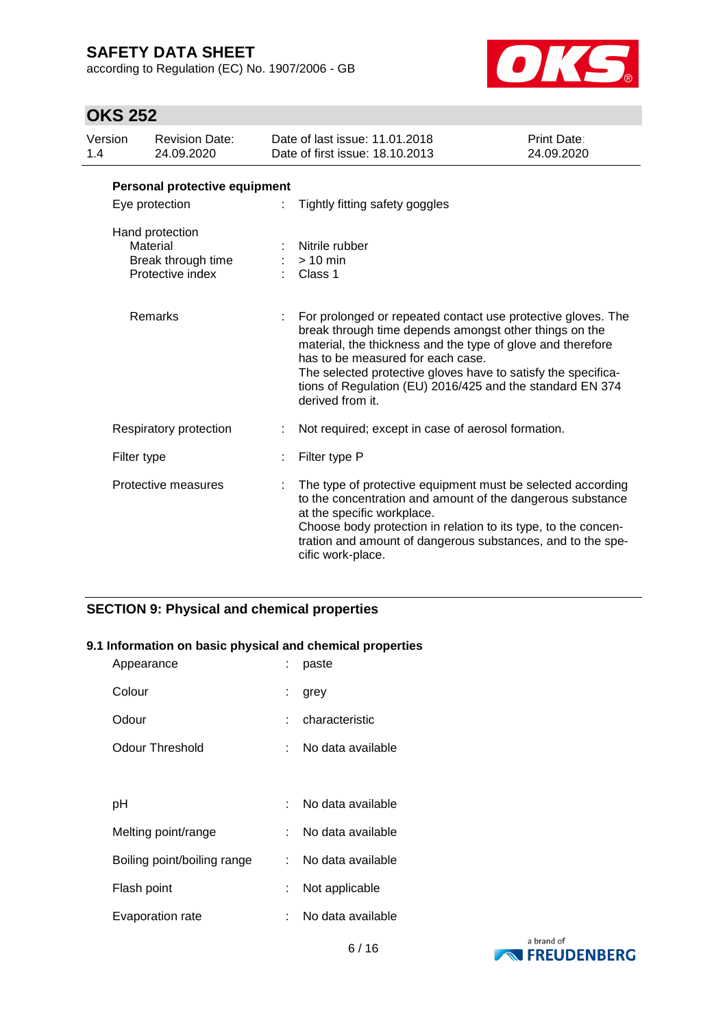according to Regulation (EC) No. 1907/2006 - GB



# **OKS 252**

| Version<br>1.4 | <b>Revision Date:</b><br>24.09.2020                                   | Date of last issue: 11.01.2018<br>Date of first issue: 18.10.2013                                                                                                                                                                                                                                                                                                            | <b>Print Date:</b><br>24.09.2020 |
|----------------|-----------------------------------------------------------------------|------------------------------------------------------------------------------------------------------------------------------------------------------------------------------------------------------------------------------------------------------------------------------------------------------------------------------------------------------------------------------|----------------------------------|
|                | Personal protective equipment                                         |                                                                                                                                                                                                                                                                                                                                                                              |                                  |
|                | Eye protection                                                        | Tightly fitting safety goggles                                                                                                                                                                                                                                                                                                                                               |                                  |
|                | Hand protection<br>Material<br>Break through time<br>Protective index | Nitrile rubber<br>$>10$ min<br>Class 1                                                                                                                                                                                                                                                                                                                                       |                                  |
|                | <b>Remarks</b>                                                        | For prolonged or repeated contact use protective gloves. The<br>break through time depends amongst other things on the<br>material, the thickness and the type of glove and therefore<br>has to be measured for each case.<br>The selected protective gloves have to satisfy the specifica-<br>tions of Regulation (EU) 2016/425 and the standard EN 374<br>derived from it. |                                  |
|                | Respiratory protection                                                | Not required; except in case of aerosol formation.                                                                                                                                                                                                                                                                                                                           |                                  |
|                | Filter type                                                           | Filter type P                                                                                                                                                                                                                                                                                                                                                                |                                  |
|                | Protective measures                                                   | The type of protective equipment must be selected according<br>to the concentration and amount of the dangerous substance<br>at the specific workplace.<br>Choose body protection in relation to its type, to the concen-<br>tration and amount of dangerous substances, and to the spe-<br>cific work-place.                                                                |                                  |

### **SECTION 9: Physical and chemical properties**

#### **9.1 Information on basic physical and chemical properties**

| Appearance                  |    | paste             |
|-----------------------------|----|-------------------|
| Colour                      | ÷. | grey              |
| Odour                       |    | characteristic    |
| <b>Odour Threshold</b>      |    | No data available |
|                             |    |                   |
| рH                          |    | No data available |
| Melting point/range         |    | No data available |
| Boiling point/boiling range | t. | No data available |
| Flash point                 |    | Not applicable    |
| Evaporation rate            |    | No data available |

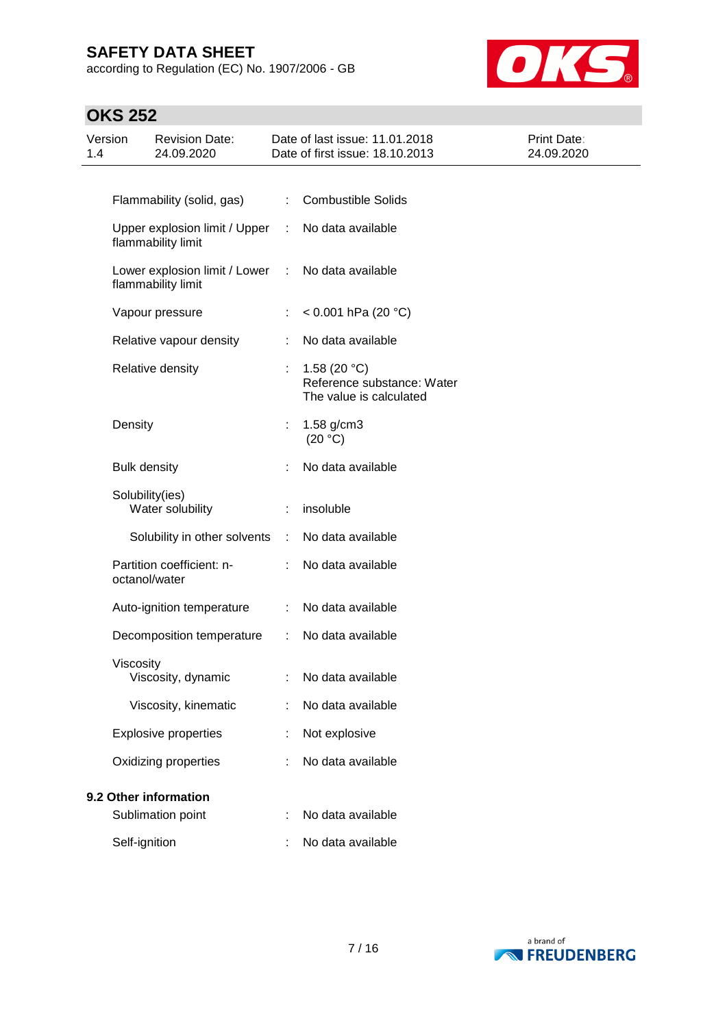according to Regulation (EC) No. 1907/2006 - GB



# **OKS 252**

| Version<br>1.4 | <b>Revision Date:</b><br>24.09.2020                 |    | Date of last issue: 11.01.2018<br>Date of first issue: 18.10.2013       | Print Date:<br>24.09.2020 |  |  |
|----------------|-----------------------------------------------------|----|-------------------------------------------------------------------------|---------------------------|--|--|
|                |                                                     |    |                                                                         |                           |  |  |
|                | Flammability (solid, gas)                           |    | <b>Combustible Solids</b>                                               |                           |  |  |
|                | Upper explosion limit / Upper<br>flammability limit | ÷  | No data available                                                       |                           |  |  |
|                | Lower explosion limit / Lower<br>flammability limit | ÷  | No data available                                                       |                           |  |  |
|                | Vapour pressure                                     | ÷  | < $0.001$ hPa (20 °C)                                                   |                           |  |  |
|                | Relative vapour density                             |    | No data available                                                       |                           |  |  |
|                | Relative density                                    |    | 1.58 $(20 °C)$<br>Reference substance: Water<br>The value is calculated |                           |  |  |
|                | Density                                             | ÷. | 1.58 g/cm3<br>(20 °C)                                                   |                           |  |  |
|                | <b>Bulk density</b>                                 |    | No data available                                                       |                           |  |  |
|                | Solubility(ies)<br>Water solubility                 |    | insoluble                                                               |                           |  |  |
|                | Solubility in other solvents                        | ÷  | No data available                                                       |                           |  |  |
|                | Partition coefficient: n-<br>octanol/water          |    | No data available                                                       |                           |  |  |
|                | Auto-ignition temperature                           | ÷  | No data available                                                       |                           |  |  |
|                | Decomposition temperature                           | ÷  | No data available                                                       |                           |  |  |
|                | Viscosity<br>Viscosity, dynamic                     |    | No data available                                                       |                           |  |  |
|                | Viscosity, kinematic                                |    | No data available                                                       |                           |  |  |
|                | <b>Explosive properties</b>                         |    | Not explosive                                                           |                           |  |  |
|                | Oxidizing properties                                |    | No data available                                                       |                           |  |  |
|                | 9.2 Other information                               |    |                                                                         |                           |  |  |
|                | Sublimation point                                   |    | No data available                                                       |                           |  |  |
|                | Self-ignition                                       |    | No data available                                                       |                           |  |  |

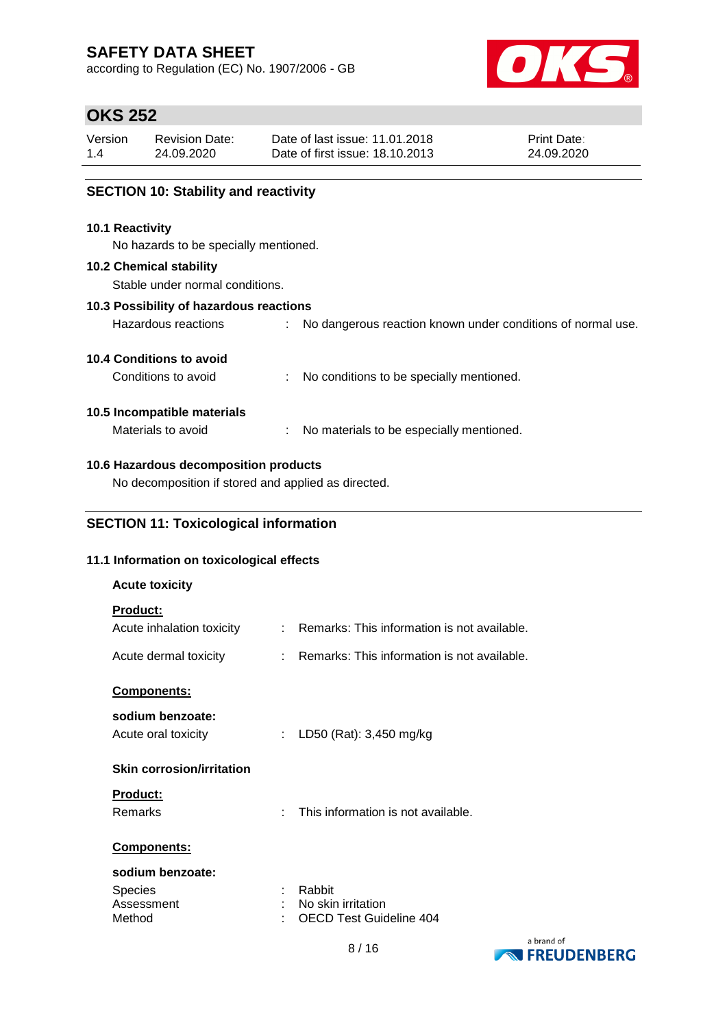according to Regulation (EC) No. 1907/2006 - GB



# **OKS 252**

| Version | <b>Revision Date:</b> | Date of last issue: 11.01.2018  | <b>Print Date:</b> |
|---------|-----------------------|---------------------------------|--------------------|
| 1.4     | 24.09.2020            | Date of first issue: 18.10.2013 | 24.09.2020         |
|         |                       |                                 |                    |

### **SECTION 10: Stability and reactivity**

#### **10.1 Reactivity**

No hazards to be specially mentioned.

#### **10.2 Chemical stability**

Stable under normal conditions.

#### **10.3 Possibility of hazardous reactions**

Hazardous reactions : No dangerous reaction known under conditions of normal use.

#### **10.4 Conditions to avoid**

Conditions to avoid : No conditions to be specially mentioned.

#### **10.5 Incompatible materials**

Materials to avoid : No materials to be especially mentioned.

#### **10.6 Hazardous decomposition products**

No decomposition if stored and applied as directed.

### **SECTION 11: Toxicological information**

#### **11.1 Information on toxicological effects**

| <b>Acute toxicity</b>                                      |                           |                                                                |            |
|------------------------------------------------------------|---------------------------|----------------------------------------------------------------|------------|
| <b>Product:</b><br>Acute inhalation toxicity               |                           | : Remarks: This information is not available.                  |            |
| Acute dermal toxicity                                      |                           | : Remarks: This information is not available.                  |            |
| <b>Components:</b><br>sodium benzoate:                     |                           |                                                                |            |
| Acute oral toxicity                                        | $\mathbb{R}^{\mathbb{Z}}$ | LD50 (Rat): 3,450 mg/kg                                        |            |
| <b>Skin corrosion/irritation</b>                           |                           |                                                                |            |
| Product:<br>Remarks                                        | ÷.                        | This information is not available.                             |            |
| Components:                                                |                           |                                                                |            |
| sodium benzoate:<br><b>Species</b><br>Assessment<br>Method |                           | Rabbit<br>No skin irritation<br><b>OECD Test Guideline 404</b> |            |
|                                                            |                           |                                                                | a brand of |

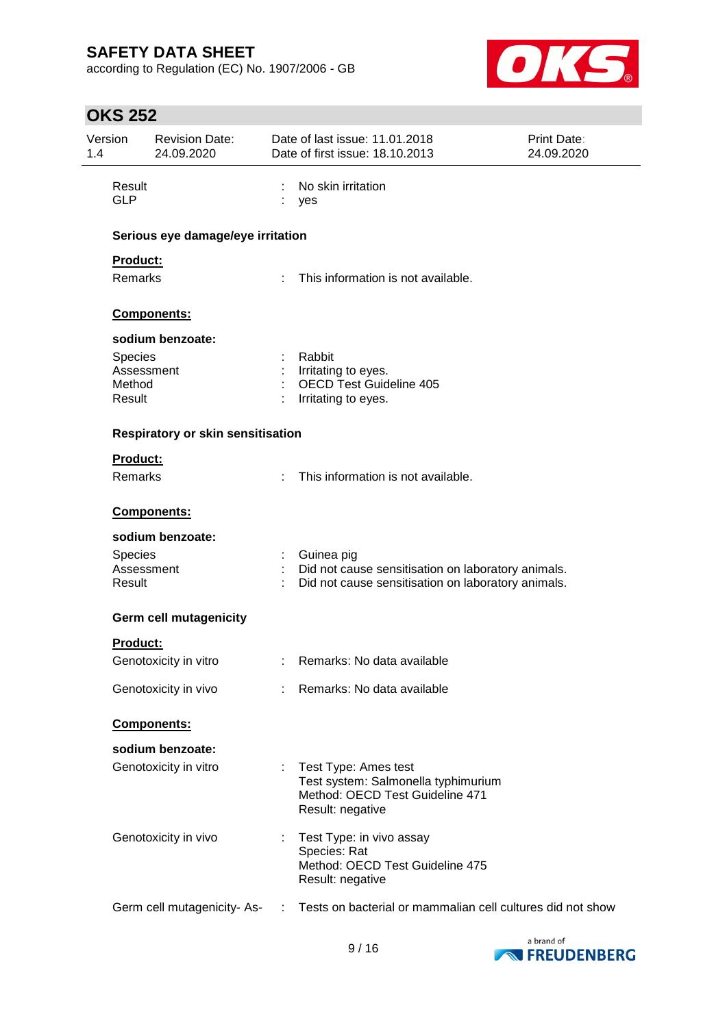according to Regulation (EC) No. 1907/2006 - GB



# **OKS 252**

| Version<br>1.4       | <b>Revision Date:</b><br>24.09.2020 |     | Date of last issue: 11.01.2018<br>Date of first issue: 18.10.2013 | <b>Print Date:</b><br>24.09.2020 |
|----------------------|-------------------------------------|-----|-------------------------------------------------------------------|----------------------------------|
| Result<br><b>GLP</b> |                                     |     | No skin irritation<br>yes                                         |                                  |
|                      | Serious eye damage/eye irritation   |     |                                                                   |                                  |
| <b>Product:</b>      |                                     |     |                                                                   |                                  |
| Remarks              |                                     |     | This information is not available.                                |                                  |
|                      | Components:                         |     |                                                                   |                                  |
|                      | sodium benzoate:                    |     |                                                                   |                                  |
| <b>Species</b>       |                                     |     | Rabbit                                                            |                                  |
| Method               | Assessment                          |     | Irritating to eyes.<br><b>OECD Test Guideline 405</b>             |                                  |
| Result               |                                     |     | Irritating to eyes.                                               |                                  |
|                      | Respiratory or skin sensitisation   |     |                                                                   |                                  |
| Product:             |                                     |     |                                                                   |                                  |
| Remarks              |                                     |     | This information is not available.                                |                                  |
|                      | Components:                         |     |                                                                   |                                  |
|                      | sodium benzoate:                    |     |                                                                   |                                  |
| <b>Species</b>       |                                     |     | : Guinea pig                                                      |                                  |
|                      | Assessment                          |     | Did not cause sensitisation on laboratory animals.                |                                  |
| Result               |                                     |     | Did not cause sensitisation on laboratory animals.                |                                  |
|                      | <b>Germ cell mutagenicity</b>       |     |                                                                   |                                  |
| <b>Product:</b>      |                                     |     |                                                                   |                                  |
|                      | Genotoxicity in vitro               |     | : Remarks: No data available                                      |                                  |
|                      | Genotoxicity in vivo                |     | : Remarks: No data available                                      |                                  |
|                      | Components:                         |     |                                                                   |                                  |
|                      | sodium benzoate:                    |     |                                                                   |                                  |
|                      | Genotoxicity in vitro               | ÷.  | Test Type: Ames test                                              |                                  |
|                      |                                     |     | Test system: Salmonella typhimurium                               |                                  |
|                      |                                     |     | Method: OECD Test Guideline 471<br>Result: negative               |                                  |
|                      |                                     |     |                                                                   |                                  |
|                      | Genotoxicity in vivo                |     | Test Type: in vivo assay                                          |                                  |
|                      |                                     |     | Species: Rat<br>Method: OECD Test Guideline 475                   |                                  |
|                      |                                     |     | Result: negative                                                  |                                  |
|                      |                                     |     |                                                                   |                                  |
|                      | Germ cell mutagenicity-As-          | -11 | Tests on bacterial or mammalian cell cultures did not show        |                                  |
|                      |                                     |     |                                                                   |                                  |

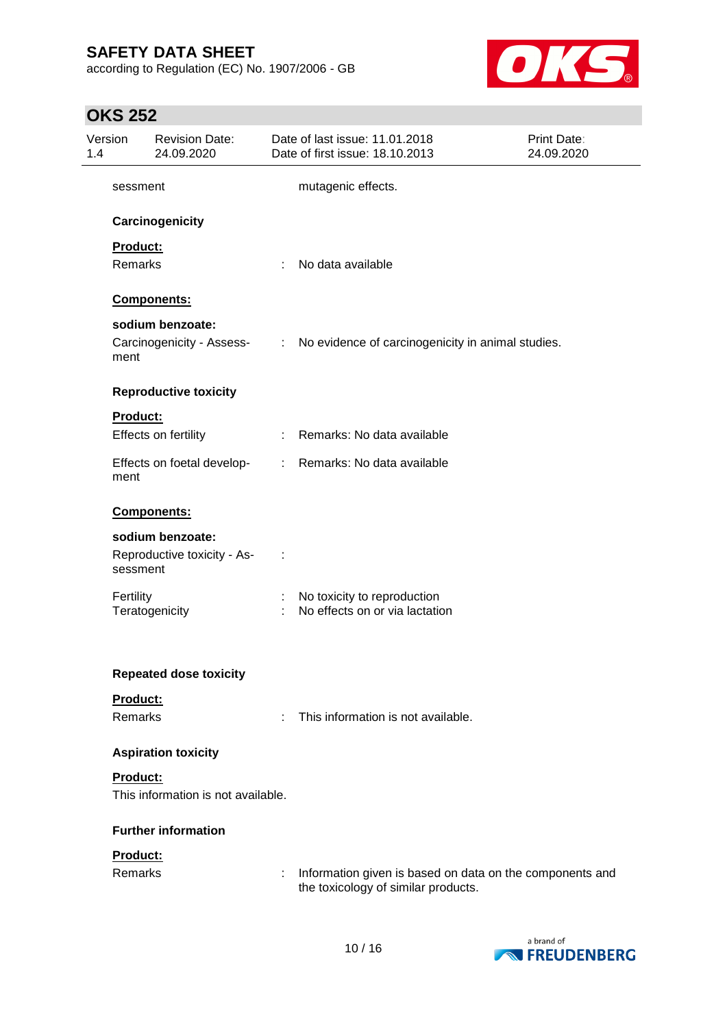according to Regulation (EC) No. 1907/2006 - GB



# **OKS 252**

| Version<br>1.4 | <b>Revision Date:</b><br>24.09.2020 |    | Date of last issue: 11.01.2018<br>Date of first issue: 18.10.2013                               | Print Date:<br>24.09.2020 |
|----------------|-------------------------------------|----|-------------------------------------------------------------------------------------------------|---------------------------|
| sessment       |                                     |    | mutagenic effects.                                                                              |                           |
|                | Carcinogenicity                     |    |                                                                                                 |                           |
| Product:       |                                     |    |                                                                                                 |                           |
| Remarks        |                                     | ÷  | No data available                                                                               |                           |
|                | Components:                         |    |                                                                                                 |                           |
|                | sodium benzoate:                    |    |                                                                                                 |                           |
| ment           | Carcinogenicity - Assess-           |    | : No evidence of carcinogenicity in animal studies.                                             |                           |
|                | <b>Reproductive toxicity</b>        |    |                                                                                                 |                           |
| Product:       |                                     |    |                                                                                                 |                           |
|                | Effects on fertility                |    | : Remarks: No data available                                                                    |                           |
| ment           | Effects on foetal develop-          |    | : Remarks: No data available                                                                    |                           |
|                | Components:                         |    |                                                                                                 |                           |
|                | sodium benzoate:                    |    |                                                                                                 |                           |
| sessment       | Reproductive toxicity - As-         |    |                                                                                                 |                           |
| Fertility      | Teratogenicity                      | ÷. | No toxicity to reproduction<br>No effects on or via lactation                                   |                           |
|                |                                     |    |                                                                                                 |                           |
|                | <b>Repeated dose toxicity</b>       |    |                                                                                                 |                           |
| Product:       |                                     |    |                                                                                                 |                           |
| Remarks        |                                     | ÷  | This information is not available.                                                              |                           |
|                | <b>Aspiration toxicity</b>          |    |                                                                                                 |                           |
| Product:       |                                     |    |                                                                                                 |                           |
|                | This information is not available.  |    |                                                                                                 |                           |
|                | <b>Further information</b>          |    |                                                                                                 |                           |
| Product:       |                                     |    |                                                                                                 |                           |
| Remarks        |                                     | ÷  | Information given is based on data on the components and<br>the toxicology of similar products. |                           |
|                |                                     |    |                                                                                                 |                           |

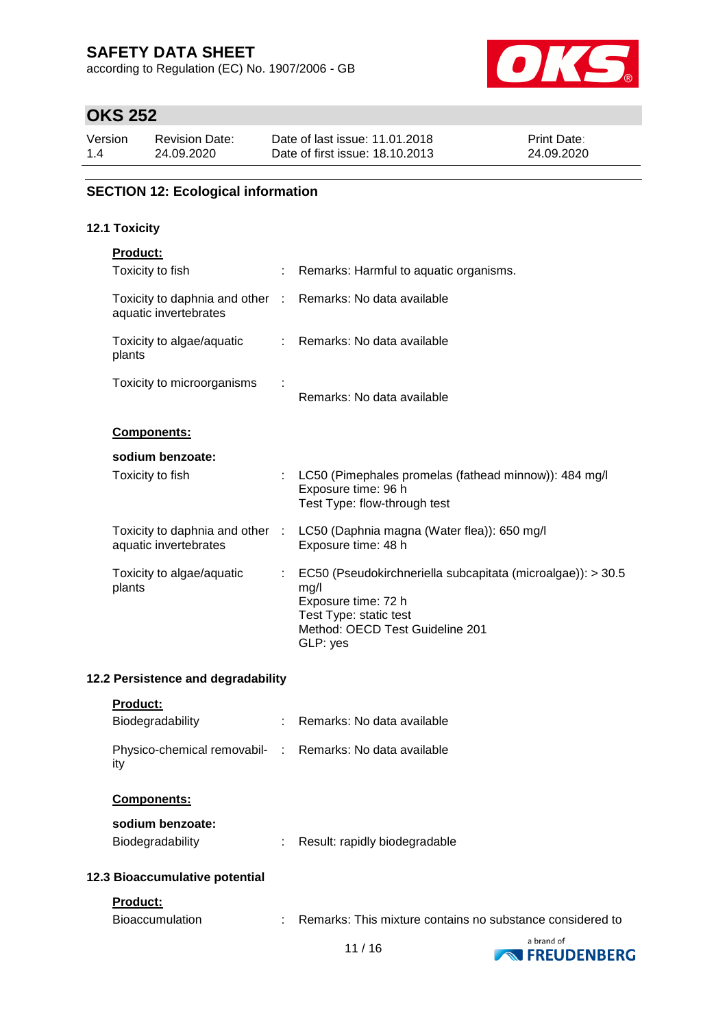according to Regulation (EC) No. 1907/2006 - GB



# **OKS 252**

| Version | <b>Revision Date:</b> | Date of last issue: 11.01.2018  | <b>Print Date:</b> |
|---------|-----------------------|---------------------------------|--------------------|
| 1.4     | 24.09.2020            | Date of first issue: 18.10.2013 | 24.09.2020         |

### **SECTION 12: Ecological information**

### **12.1 Toxicity**

| <b>Product:</b>                                                                     |                           |                                                                                                                                                                     |
|-------------------------------------------------------------------------------------|---------------------------|---------------------------------------------------------------------------------------------------------------------------------------------------------------------|
| Toxicity to fish                                                                    |                           | : Remarks: Harmful to aquatic organisms.                                                                                                                            |
| Toxicity to daphnia and other : Remarks: No data available<br>aquatic invertebrates |                           |                                                                                                                                                                     |
| Toxicity to algae/aquatic<br>plants                                                 |                           | : Remarks: No data available                                                                                                                                        |
| Toxicity to microorganisms                                                          |                           | Remarks: No data available                                                                                                                                          |
| Components:                                                                         |                           |                                                                                                                                                                     |
| sodium benzoate:                                                                    |                           |                                                                                                                                                                     |
| Toxicity to fish                                                                    |                           | : LC50 (Pimephales promelas (fathead minnow)): 484 mg/l<br>Exposure time: 96 h<br>Test Type: flow-through test                                                      |
| aquatic invertebrates                                                               |                           | Toxicity to daphnia and other : LC50 (Daphnia magna (Water flea)): 650 mg/l<br>Exposure time: 48 h                                                                  |
| Toxicity to algae/aquatic<br>plants                                                 | $\mathbb{Z}^{\mathbb{Z}}$ | EC50 (Pseudokirchneriella subcapitata (microalgae)): > 30.5<br>mg/l<br>Exposure time: 72 h<br>Test Type: static test<br>Method: OECD Test Guideline 201<br>GLP: yes |

### **12.2 Persistence and degradability**

|  | Product: |  |
|--|----------|--|
|--|----------|--|

| Biodegradability                                                | : Remarks: No data available                              |
|-----------------------------------------------------------------|-----------------------------------------------------------|
| Physico-chemical removabil- : Remarks: No data available<br>ity |                                                           |
| <b>Components:</b>                                              |                                                           |
| sodium benzoate:<br><b>Biodegradability</b>                     | Result: rapidly biodegradable                             |
| 12.3 Bioaccumulative potential                                  |                                                           |
| <b>Product:</b>                                                 |                                                           |
| <b>Bioaccumulation</b>                                          | Remarks: This mixture contains no substance considered to |

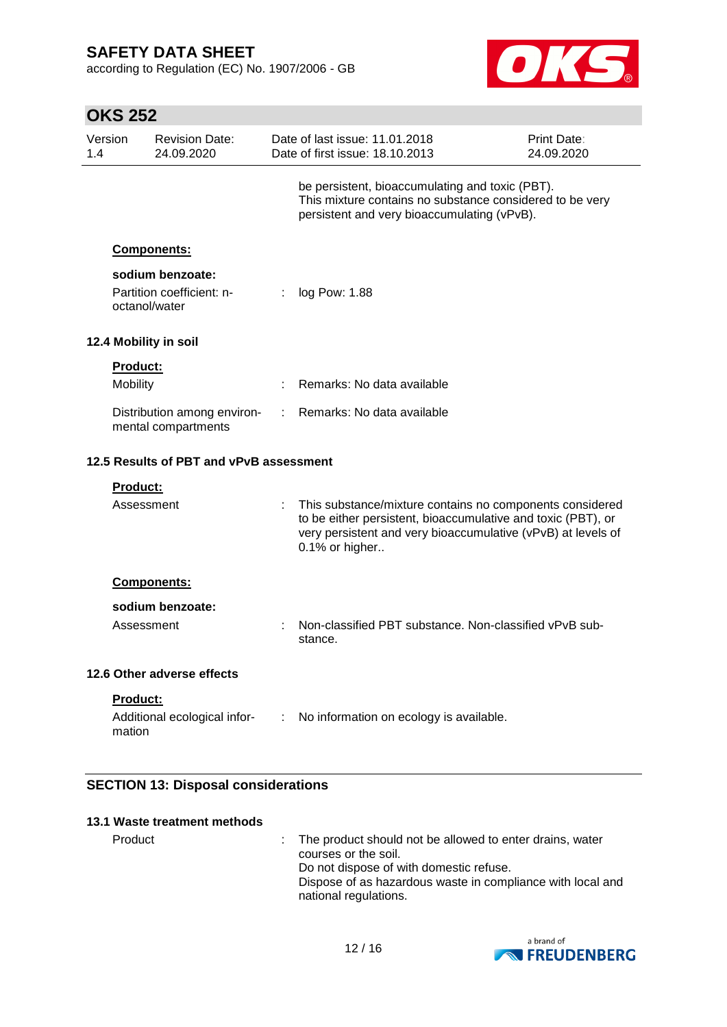according to Regulation (EC) No. 1907/2006 - GB



|                | <b>OKS 252</b>                          |                                                    |   |                                                                                                                                                                                                            |                           |  |
|----------------|-----------------------------------------|----------------------------------------------------|---|------------------------------------------------------------------------------------------------------------------------------------------------------------------------------------------------------------|---------------------------|--|
| Version<br>1.4 |                                         | <b>Revision Date:</b><br>24.09.2020                |   | Date of last issue: 11.01.2018<br>Date of first issue: 18.10.2013                                                                                                                                          | Print Date:<br>24.09.2020 |  |
|                |                                         |                                                    |   | be persistent, bioaccumulating and toxic (PBT).<br>This mixture contains no substance considered to be very<br>persistent and very bioaccumulating (vPvB).                                                 |                           |  |
|                |                                         | Components:                                        |   |                                                                                                                                                                                                            |                           |  |
|                | octanol/water                           | sodium benzoate:<br>Partition coefficient: n-      |   | log Pow: 1.88                                                                                                                                                                                              |                           |  |
|                |                                         | 12.4 Mobility in soil                              |   |                                                                                                                                                                                                            |                           |  |
|                | <b>Product:</b><br>Mobility             |                                                    | ÷ | Remarks: No data available                                                                                                                                                                                 |                           |  |
|                |                                         | Distribution among environ-<br>mental compartments |   | Remarks: No data available                                                                                                                                                                                 |                           |  |
|                | 12.5 Results of PBT and vPvB assessment |                                                    |   |                                                                                                                                                                                                            |                           |  |
|                | Product:                                |                                                    |   |                                                                                                                                                                                                            |                           |  |
|                | Assessment                              |                                                    |   | This substance/mixture contains no components considered<br>to be either persistent, bioaccumulative and toxic (PBT), or<br>very persistent and very bioaccumulative (vPvB) at levels of<br>0.1% or higher |                           |  |
|                |                                         | Components:                                        |   |                                                                                                                                                                                                            |                           |  |
|                | Assessment                              | sodium benzoate:                                   |   | Non-classified PBT substance. Non-classified vPvB sub-<br>stance.                                                                                                                                          |                           |  |
|                |                                         | 12.6 Other adverse effects                         |   |                                                                                                                                                                                                            |                           |  |
|                | Product:<br>mation                      | Additional ecological infor-                       | ÷ | No information on ecology is available.                                                                                                                                                                    |                           |  |

### **SECTION 13: Disposal considerations**

| 13.1 Waste treatment methods |                                                                                                                                                                                                                      |
|------------------------------|----------------------------------------------------------------------------------------------------------------------------------------------------------------------------------------------------------------------|
| Product                      | : The product should not be allowed to enter drains, water<br>courses or the soil.<br>Do not dispose of with domestic refuse.<br>Dispose of as hazardous waste in compliance with local and<br>national regulations. |

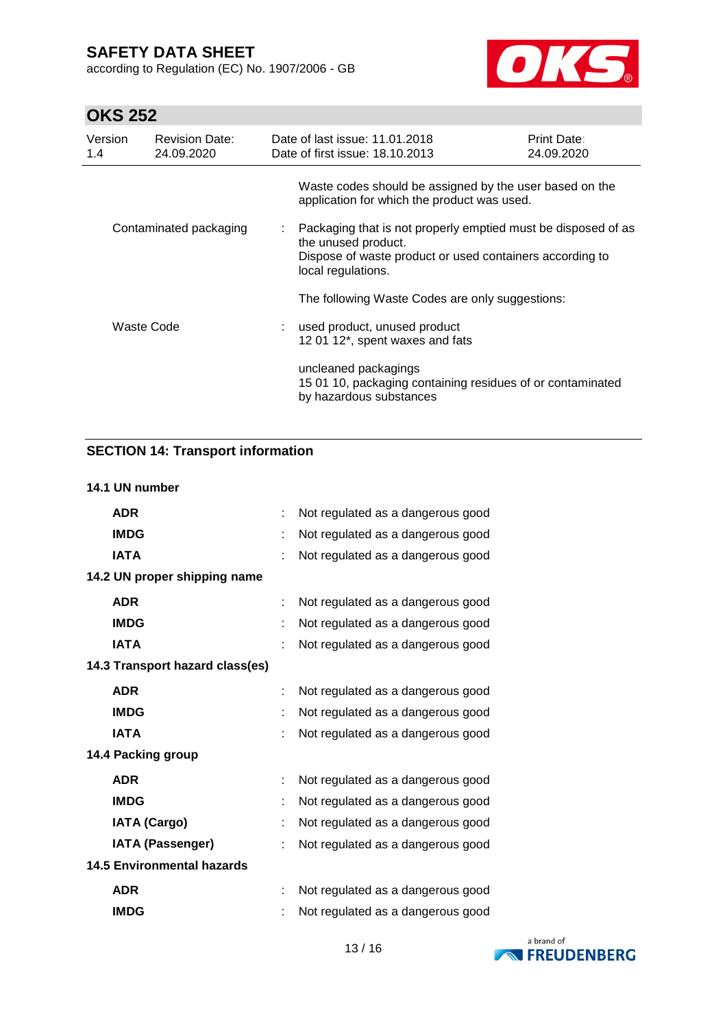according to Regulation (EC) No. 1907/2006 - GB



# **OKS 252**

| Version<br>1.4 | <b>Revision Date:</b><br>24.09.2020 | Date of last issue: 11.01.2018<br>Date of first issue: 18.10.2013                                                                                                      | Print Date:<br>24.09.2020 |
|----------------|-------------------------------------|------------------------------------------------------------------------------------------------------------------------------------------------------------------------|---------------------------|
|                |                                     | Waste codes should be assigned by the user based on the<br>application for which the product was used.                                                                 |                           |
|                | Contaminated packaging              | Packaging that is not properly emptied must be disposed of as<br>the unused product.<br>Dispose of waste product or used containers according to<br>local regulations. |                           |
|                |                                     | The following Waste Codes are only suggestions:                                                                                                                        |                           |
|                | Waste Code                          | : used product, unused product<br>12 01 12*, spent waxes and fats                                                                                                      |                           |
|                |                                     | uncleaned packagings<br>15 01 10, packaging containing residues of or contaminated<br>by hazardous substances                                                          |                           |

## **SECTION 14: Transport information**

#### **14.1 UN number**

| <b>ADR</b>                        | t. | Not regulated as a dangerous good |
|-----------------------------------|----|-----------------------------------|
| <b>IMDG</b>                       | t  | Not regulated as a dangerous good |
| <b>IATA</b>                       | t  | Not regulated as a dangerous good |
| 14.2 UN proper shipping name      |    |                                   |
| <b>ADR</b>                        |    | Not regulated as a dangerous good |
| <b>IMDG</b>                       |    | Not regulated as a dangerous good |
| <b>IATA</b>                       | t  | Not regulated as a dangerous good |
| 14.3 Transport hazard class(es)   |    |                                   |
| <b>ADR</b>                        |    | Not regulated as a dangerous good |
| <b>IMDG</b>                       |    | Not regulated as a dangerous good |
| <b>IATA</b>                       |    | Not regulated as a dangerous good |
| 14.4 Packing group                |    |                                   |
| <b>ADR</b>                        | t  | Not regulated as a dangerous good |
| <b>IMDG</b>                       |    | Not regulated as a dangerous good |
| <b>IATA (Cargo)</b>               | t  | Not regulated as a dangerous good |
| <b>IATA (Passenger)</b>           |    | Not regulated as a dangerous good |
| <b>14.5 Environmental hazards</b> |    |                                   |
| <b>ADR</b>                        |    | Not regulated as a dangerous good |
| <b>IMDG</b>                       |    | Not regulated as a dangerous good |

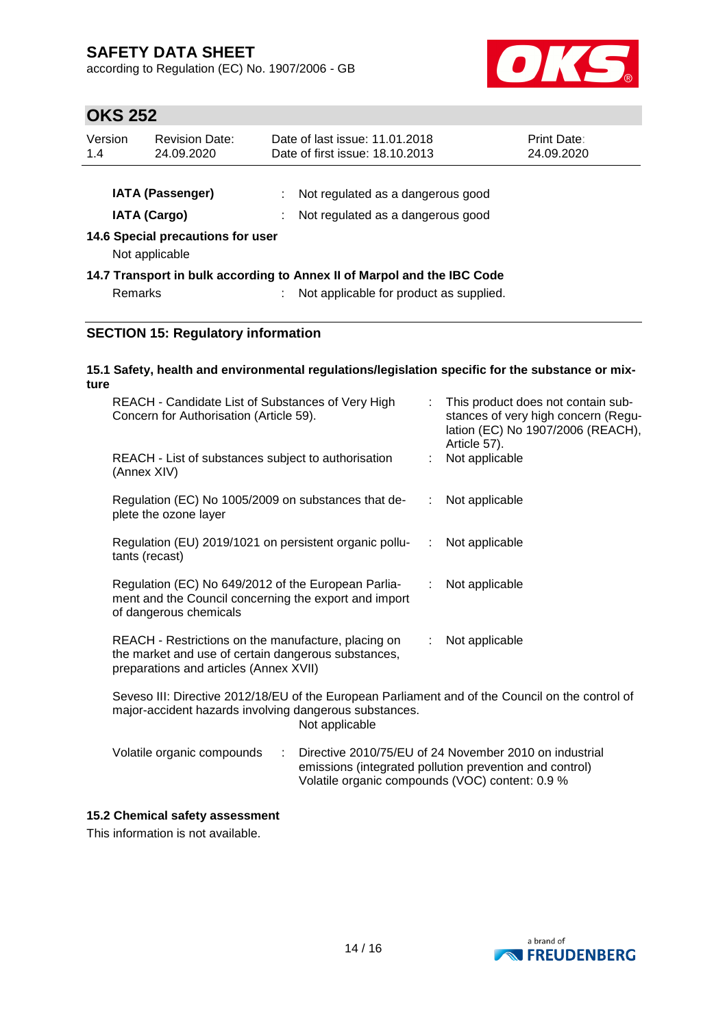according to Regulation (EC) No. 1907/2006 - GB



# **OKS 252**

| Version<br>1.4 | <b>Revision Date:</b><br>24.09.2020                 | Date of last issue: 11.01.2018<br>Date of first issue: 18.10.2013 |                                                                         | <b>Print Date:</b><br>24.09.2020 |
|----------------|-----------------------------------------------------|-------------------------------------------------------------------|-------------------------------------------------------------------------|----------------------------------|
|                | <b>IATA (Passenger)</b><br><b>IATA (Cargo)</b>      |                                                                   | Not regulated as a dangerous good<br>Not regulated as a dangerous good  |                                  |
|                | 14.6 Special precautions for user<br>Not applicable |                                                                   |                                                                         |                                  |
|                |                                                     |                                                                   | 14.7 Transport in bulk according to Annex II of Marpol and the IBC Code |                                  |
| <b>Remarks</b> |                                                     |                                                                   | : Not applicable for product as supplied.                               |                                  |
|                | <b>SECTION 15: Regulatory information</b>           |                                                                   |                                                                         |                                  |

#### **15.1 Safety, health and environmental regulations/legislation specific for the substance or mixture**

| REACH - Candidate List of Substances of Very High<br>Concern for Authorisation (Article 59).                                                                                 | : This product does not contain sub-<br>stances of very high concern (Regu-<br>lation (EC) No 1907/2006 (REACH),<br>Article 57). |  |  |  |  |
|------------------------------------------------------------------------------------------------------------------------------------------------------------------------------|----------------------------------------------------------------------------------------------------------------------------------|--|--|--|--|
| REACH - List of substances subject to authorisation<br>(Annex XIV)                                                                                                           | Not applicable                                                                                                                   |  |  |  |  |
| Regulation (EC) No 1005/2009 on substances that de-<br>plete the ozone layer                                                                                                 | : Not applicable                                                                                                                 |  |  |  |  |
| Regulation (EU) 2019/1021 on persistent organic pollu-<br>tants (recast)                                                                                                     | Not applicable<br>÷                                                                                                              |  |  |  |  |
| Regulation (EC) No 649/2012 of the European Parlia-<br>ment and the Council concerning the export and import<br>of dangerous chemicals                                       | Not applicable                                                                                                                   |  |  |  |  |
| REACH - Restrictions on the manufacture, placing on<br>the market and use of certain dangerous substances,<br>preparations and articles (Annex XVII)                         | Not applicable<br>÷.                                                                                                             |  |  |  |  |
| Seveso III: Directive 2012/18/EU of the European Parliament and of the Council on the control of<br>major-accident hazards involving dangerous substances.<br>Not applicable |                                                                                                                                  |  |  |  |  |
| Volatile organic compounds<br>÷                                                                                                                                              | Directive 2010/75/EU of 24 November 2010 on industrial                                                                           |  |  |  |  |

# emissions (integrated pollution prevention and control) Volatile organic compounds (VOC) content: 0.9 %

### **15.2 Chemical safety assessment**

This information is not available.

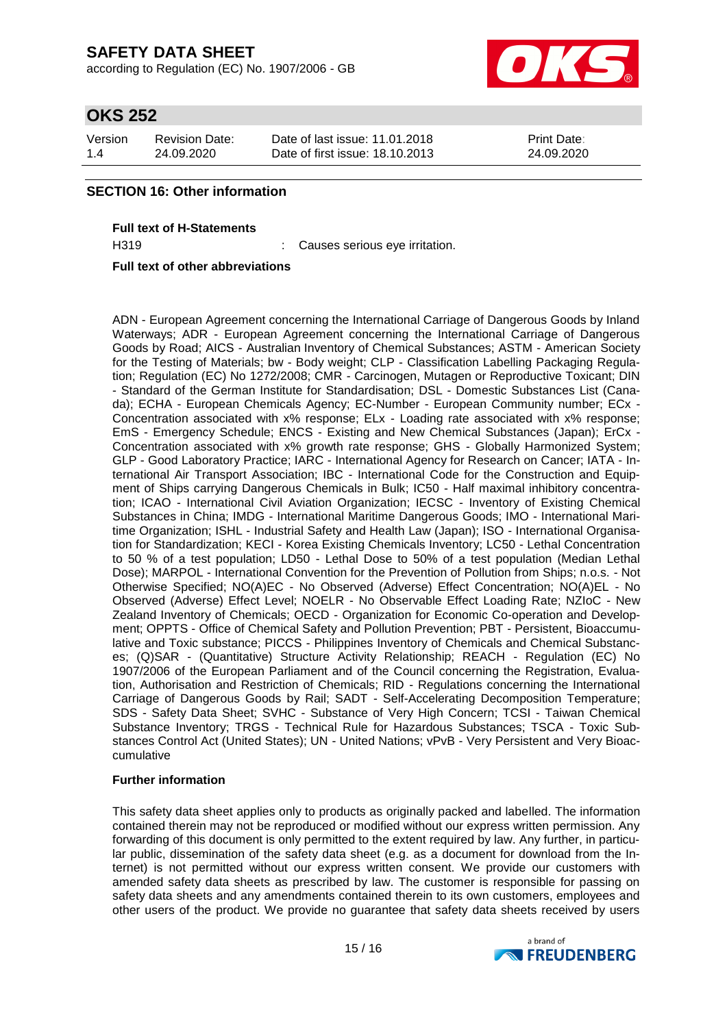according to Regulation (EC) No. 1907/2006 - GB



# **OKS 252**

| Version | Revision Date: | Date of last issue: 11.01.2018  | <b>Print Date:</b> |
|---------|----------------|---------------------------------|--------------------|
| 1.4     | 24.09.2020     | Date of first issue: 18.10.2013 | 24.09.2020         |

### **SECTION 16: Other information**

**Full text of H-Statements**

H319 : Causes serious eye irritation.

**Full text of other abbreviations**

ADN - European Agreement concerning the International Carriage of Dangerous Goods by Inland Waterways; ADR - European Agreement concerning the International Carriage of Dangerous Goods by Road; AICS - Australian Inventory of Chemical Substances; ASTM - American Society for the Testing of Materials; bw - Body weight; CLP - Classification Labelling Packaging Regulation; Regulation (EC) No 1272/2008; CMR - Carcinogen, Mutagen or Reproductive Toxicant; DIN - Standard of the German Institute for Standardisation; DSL - Domestic Substances List (Canada); ECHA - European Chemicals Agency; EC-Number - European Community number; ECx - Concentration associated with x% response; ELx - Loading rate associated with x% response; EmS - Emergency Schedule; ENCS - Existing and New Chemical Substances (Japan); ErCx - Concentration associated with x% growth rate response; GHS - Globally Harmonized System; GLP - Good Laboratory Practice; IARC - International Agency for Research on Cancer; IATA - International Air Transport Association; IBC - International Code for the Construction and Equipment of Ships carrying Dangerous Chemicals in Bulk; IC50 - Half maximal inhibitory concentration; ICAO - International Civil Aviation Organization; IECSC - Inventory of Existing Chemical Substances in China; IMDG - International Maritime Dangerous Goods; IMO - International Maritime Organization; ISHL - Industrial Safety and Health Law (Japan); ISO - International Organisation for Standardization; KECI - Korea Existing Chemicals Inventory; LC50 - Lethal Concentration to 50 % of a test population; LD50 - Lethal Dose to 50% of a test population (Median Lethal Dose); MARPOL - International Convention for the Prevention of Pollution from Ships; n.o.s. - Not Otherwise Specified; NO(A)EC - No Observed (Adverse) Effect Concentration; NO(A)EL - No Observed (Adverse) Effect Level; NOELR - No Observable Effect Loading Rate; NZIoC - New Zealand Inventory of Chemicals; OECD - Organization for Economic Co-operation and Development; OPPTS - Office of Chemical Safety and Pollution Prevention; PBT - Persistent, Bioaccumulative and Toxic substance; PICCS - Philippines Inventory of Chemicals and Chemical Substances; (Q)SAR - (Quantitative) Structure Activity Relationship; REACH - Regulation (EC) No 1907/2006 of the European Parliament and of the Council concerning the Registration, Evaluation, Authorisation and Restriction of Chemicals; RID - Regulations concerning the International Carriage of Dangerous Goods by Rail; SADT - Self-Accelerating Decomposition Temperature; SDS - Safety Data Sheet; SVHC - Substance of Very High Concern; TCSI - Taiwan Chemical Substance Inventory; TRGS - Technical Rule for Hazardous Substances; TSCA - Toxic Substances Control Act (United States); UN - United Nations; vPvB - Very Persistent and Very Bioaccumulative

#### **Further information**

This safety data sheet applies only to products as originally packed and labelled. The information contained therein may not be reproduced or modified without our express written permission. Any forwarding of this document is only permitted to the extent required by law. Any further, in particular public, dissemination of the safety data sheet (e.g. as a document for download from the Internet) is not permitted without our express written consent. We provide our customers with amended safety data sheets as prescribed by law. The customer is responsible for passing on safety data sheets and any amendments contained therein to its own customers, employees and other users of the product. We provide no guarantee that safety data sheets received by users